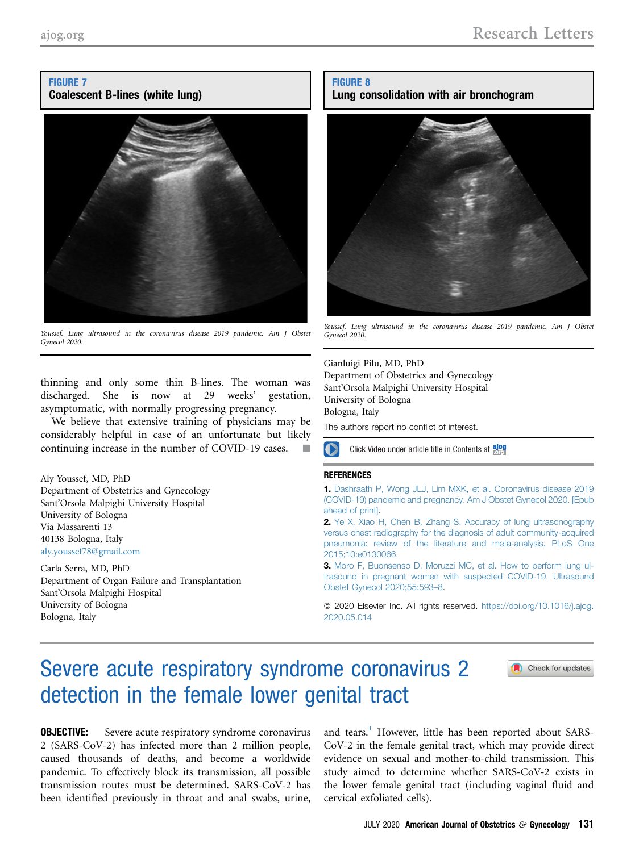## FIGURE 7 Coalescent B-lines (white lung)



Youssef. Lung ultrasound in the coronavirus disease 2019 pandemic. Am J Obstet Gynecol 2020.

thinning and only some thin B-lines. The woman was discharged. She is now at 29 weeks' gestation, asymptomatic, with normally progressing pregnancy.

We believe that extensive training of physicians may be considerably helpful in case of an unfortunate but likely continuing increase in the number of COVID-19 cases.

Aly Youssef, MD, PhD Department of Obstetrics and Gynecology Sant'Orsola Malpighi University Hospital University of Bologna Via Massarenti 13 40138 Bologna, Italy [aly.youssef78@gmail.com](mailto:aly.youssef78@gmail.com)

Carla Serra, MD, PhD Department of Organ Failure and Transplantation Sant'Orsola Malpighi Hospital University of Bologna Bologna, Italy

## FIGURE 8

## Lung consolidation with air bronchogram



Youssef. Lung ultrasound in the coronavirus disease 2019 pandemic. Am J Obstet Gynecol 2020.

Gianluigi Pilu, MD, PhD Department of Obstetrics and Gynecology Sant'Orsola Malpighi University Hospital University of Bologna Bologna, Italy The authors report no conflict of interest.

O Click Video under article title in Contents at along

### **REFERENCES**

1. [Dashraath P, Wong JLJ, Lim MXK, et al. Coronavirus disease 2019](http://refhub.elsevier.com/S0002-9378(20)30523-8/sref1) [\(COVID-19\) pandemic and pregnancy. Am J Obstet Gynecol 2020. \[Epub](http://refhub.elsevier.com/S0002-9378(20)30523-8/sref1) [ahead of print\]](http://refhub.elsevier.com/S0002-9378(20)30523-8/sref1).

2. [Ye X, Xiao H, Chen B, Zhang S. Accuracy of lung ultrasonography](http://refhub.elsevier.com/S0002-9378(20)30523-8/sref2) [versus chest radiography for the diagnosis of adult community-acquired](http://refhub.elsevier.com/S0002-9378(20)30523-8/sref2) [pneumonia: review of the literature and meta-analysis. PLoS One](http://refhub.elsevier.com/S0002-9378(20)30523-8/sref2) [2015;10:e0130066](http://refhub.elsevier.com/S0002-9378(20)30523-8/sref2).

3. [Moro F, Buonsenso D, Moruzzi MC, et al. How to perform lung ul](http://refhub.elsevier.com/S0002-9378(20)30523-8/sref3)[trasound in pregnant women with suspected COVID-19. Ultrasound](http://refhub.elsevier.com/S0002-9378(20)30523-8/sref3) [Obstet Gynecol 2020;55:593](http://refhub.elsevier.com/S0002-9378(20)30523-8/sref3)–8.

© 2020 Elsevier Inc. All rights reserved. [https://doi.org/10.1016/j.ajog.](https://doi.org/10.1016/j.ajog.2020.05.014) [2020.05.014](https://doi.org/10.1016/j.ajog.2020.05.014)

# Severe acute respiratory syndrome coronavirus 2 detection in the female lower genital tract



**OBJECTIVE:** Severe acute respiratory syndrome coronavirus 2 (SARS-CoV-2) has infected more than 2 million people, caused thousands of deaths, and become a worldwide pandemic. To effectively block its transmission, all possible transmission routes must be determined. SARS-CoV-2 has been identified previously in throat and anal swabs, urine, and tears.<sup>[1](#page-3-0)</sup> However, little has been reported about SARS-CoV-2 in the female genital tract, which may provide direct evidence on sexual and mother-to-child transmission. This study aimed to determine whether SARS-CoV-2 exists in the lower female genital tract (including vaginal fluid and cervical exfoliated cells).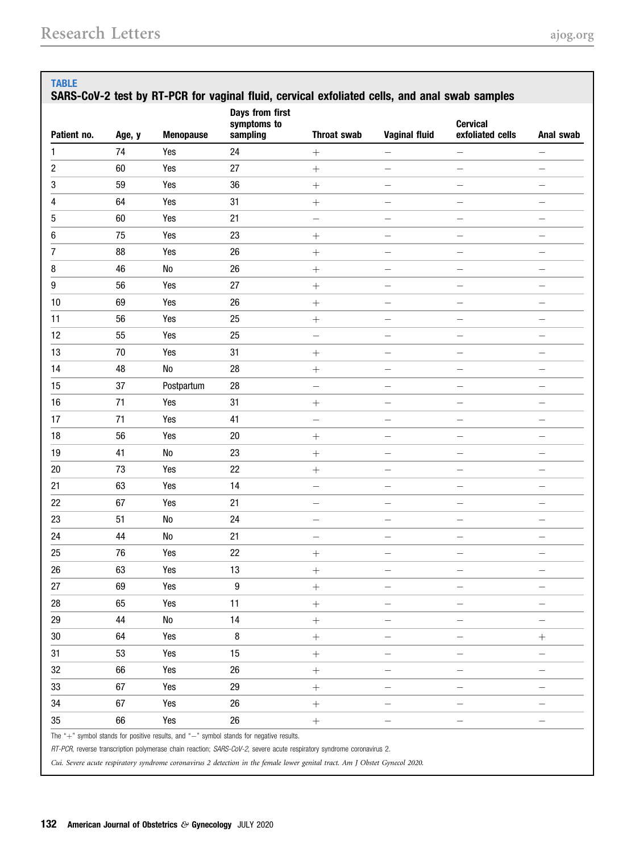<span id="page-1-0"></span>

| Patient no. | Age, y | <b>Menopause</b> | Days from first<br>symptoms to<br>sampling | <b>Throat swab</b>       | <b>Vaginal fluid</b>     | <b>Cervical</b><br>exfoliated cells | Anal swab                |
|-------------|--------|------------------|--------------------------------------------|--------------------------|--------------------------|-------------------------------------|--------------------------|
| 1           | 74     | Yes              | 24                                         |                          | $\qquad \qquad -$        |                                     |                          |
| 2           | 60     | Yes              | 27                                         | $\boldsymbol{+}$         | $\overline{\phantom{0}}$ |                                     |                          |
| 3           | 59     | Yes              | 36                                         |                          | $\overline{\phantom{0}}$ | $\overline{\phantom{0}}$            | -                        |
| 4           | 64     | Yes              | 31                                         |                          |                          |                                     | $\overline{\phantom{0}}$ |
| 5           | 60     | Yes              | 21                                         | -                        | -                        | $\overline{\phantom{0}}$            | $\qquad \qquad$          |
| 6           | 75     | Yes              | 23                                         | $^{+}$                   | —                        |                                     | $\qquad \qquad$          |
| 7           | 88     | Yes              | 26                                         |                          | $\overline{\phantom{0}}$ |                                     |                          |
| 8           | 46     | ${\sf No}$       | 26                                         |                          | $\overline{\phantom{0}}$ | -                                   | $\qquad \qquad$          |
| 9           | 56     | Yes              | 27                                         |                          | -                        | -                                   | $\qquad \qquad -$        |
| 10          | 69     | Yes              | 26                                         |                          | -                        |                                     |                          |
| 11          | 56     | Yes              | 25                                         | $\! + \!$                | -                        |                                     | -                        |
| 12          | 55     | Yes              | 25                                         | $\qquad \qquad -$        | $\qquad \qquad -$        | $\overline{\phantom{0}}$            | $\overline{\phantom{m}}$ |
| 13          | 70     | Yes              | 31                                         |                          | $\overline{\phantom{0}}$ |                                     | $\qquad \qquad -$        |
| 14          | 48     | N <sub>0</sub>   | 28                                         |                          | -                        |                                     | -                        |
| 15          | 37     | Postpartum       | 28                                         | $\qquad \qquad -$        | -                        | $\overline{\phantom{0}}$            | -                        |
| 16          | 71     | Yes              | 31                                         | $^{+}$                   | -                        | $\overline{\phantom{0}}$            | -                        |
| 17          | 71     | Yes              | 41                                         | $\qquad \qquad -$        | -                        |                                     | $\qquad \qquad -$        |
| 18          | 56     | Yes              | $20\,$                                     |                          | $\overline{\phantom{0}}$ | $\overline{\phantom{0}}$            | $\overline{\phantom{0}}$ |
| 19          | 41     | No               | 23                                         |                          | -                        |                                     | -                        |
| 20          | 73     | Yes              | 22                                         | $^{+}$                   | -                        | $\overline{\phantom{0}}$            | $\qquad \qquad -$        |
| 21          | 63     | Yes              | 14                                         | $\qquad \qquad -$        | -                        |                                     | -                        |
| 22          | 67     | Yes              | 21                                         | -                        | -                        |                                     |                          |
| 23          | 51     | No               | 24                                         | -                        | -                        | -                                   | $\overline{\phantom{0}}$ |
| 24          | 44     | ${\sf No}$       | 21                                         | $\overline{\phantom{m}}$ | -                        | $\overline{\phantom{0}}$            | $\overline{\phantom{0}}$ |
| 25          | 76     | Yes              | 22                                         | $^{+}$                   | —                        | $\overline{\phantom{0}}$            | $\qquad \qquad$          |
| 26          | 63     | Yes              | $13\,$                                     | $^+$                     |                          |                                     |                          |
| 27          | 69     | Yes              | 9                                          |                          |                          |                                     |                          |
| 28          | 65     | Yes              | 11                                         | $\boldsymbol{+}$         |                          |                                     |                          |
| 29          | 44     | No               | 14                                         | $^{+}$                   | $\overline{\phantom{0}}$ |                                     |                          |
| $30\,$      | 64     | Yes              | 8                                          | $\boldsymbol{+}$         | $\overline{\phantom{0}}$ |                                     |                          |
| 31          | 53     | Yes              | 15                                         |                          | -                        | -                                   | $\qquad \qquad$          |
| 32          | 66     | Yes              | 26                                         |                          |                          |                                     |                          |
| 33          | 67     | Yes              | 29                                         |                          | $\overline{\phantom{0}}$ |                                     |                          |
| 34          | 67     | Yes              | 26                                         |                          | -                        |                                     |                          |
| 35          | 66     | Yes              | 26                                         | $\boldsymbol{+}$         | $\overline{\phantom{0}}$ | $\overline{\phantom{0}}$            | —                        |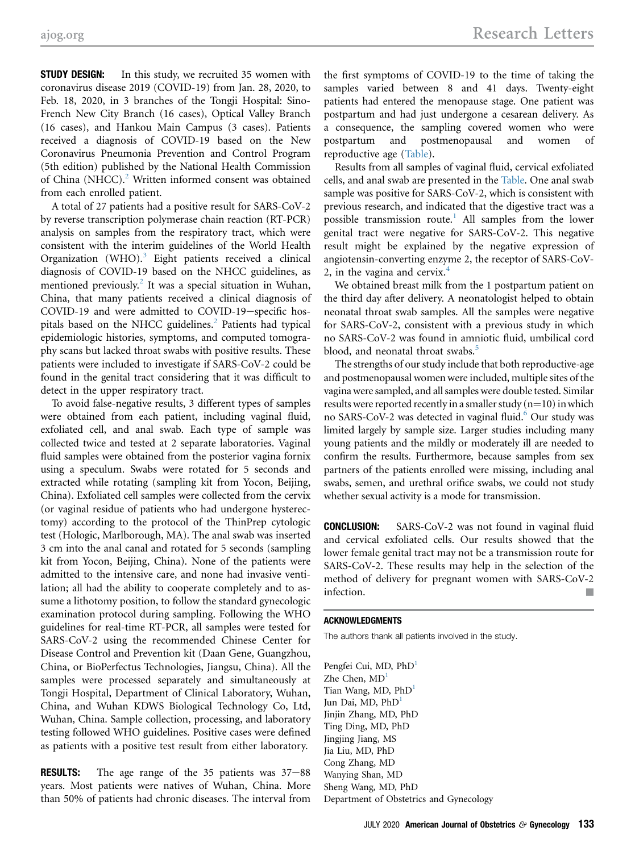**STUDY DESIGN:** In this study, we recruited 35 women with coronavirus disease 2019 (COVID-19) from Jan. 28, 2020, to Feb. 18, 2020, in 3 branches of the Tongji Hospital: Sino-French New City Branch (16 cases), Optical Valley Branch (16 cases), and Hankou Main Campus (3 cases). Patients received a diagnosis of COVID-19 based on the New Coronavirus Pneumonia Prevention and Control Program (5th edition) published by the National Health Commission of China (NHCC). $<sup>2</sup>$  Written informed consent was obtained</sup> from each enrolled patient.

A total of 27 patients had a positive result for SARS-CoV-2 by reverse transcription polymerase chain reaction (RT-PCR) analysis on samples from the respiratory tract, which were consistent with the interim guidelines of the World Health Organization (WHO). $3$  Eight patients received a clinical diagnosis of COVID-19 based on the NHCC guidelines, as mentioned previously.<sup>[2](#page-3-1)</sup> It was a special situation in Wuhan, China, that many patients received a clinical diagnosis of COVID-19 and were admitted to COVID-19-specific hos-pitals based on the NHCC guidelines.<sup>[2](#page-3-1)</sup> Patients had typical epidemiologic histories, symptoms, and computed tomography scans but lacked throat swabs with positive results. These patients were included to investigate if SARS-CoV-2 could be found in the genital tract considering that it was difficult to detect in the upper respiratory tract.

To avoid false-negative results, 3 different types of samples were obtained from each patient, including vaginal fluid, exfoliated cell, and anal swab. Each type of sample was collected twice and tested at 2 separate laboratories. Vaginal fluid samples were obtained from the posterior vagina fornix using a speculum. Swabs were rotated for 5 seconds and extracted while rotating (sampling kit from Yocon, Beijing, China). Exfoliated cell samples were collected from the cervix (or vaginal residue of patients who had undergone hysterectomy) according to the protocol of the ThinPrep cytologic test (Hologic, Marlborough, MA). The anal swab was inserted 3 cm into the anal canal and rotated for 5 seconds (sampling kit from Yocon, Beijing, China). None of the patients were admitted to the intensive care, and none had invasive ventilation; all had the ability to cooperate completely and to assume a lithotomy position, to follow the standard gynecologic examination protocol during sampling. Following the WHO guidelines for real-time RT-PCR, all samples were tested for SARS-CoV-2 using the recommended Chinese Center for Disease Control and Prevention kit (Daan Gene, Guangzhou, China, or BioPerfectus Technologies, Jiangsu, China). All the samples were processed separately and simultaneously at Tongji Hospital, Department of Clinical Laboratory, Wuhan, China, and Wuhan KDWS Biological Technology Co, Ltd, Wuhan, China. Sample collection, processing, and laboratory testing followed WHO guidelines. Positive cases were defined as patients with a positive test result from either laboratory.

**RESULTS:** The age range of the  $35$  patients was  $37-88$ years. Most patients were natives of Wuhan, China. More than 50% of patients had chronic diseases. The interval from the first symptoms of COVID-19 to the time of taking the samples varied between 8 and 41 days. Twenty-eight patients had entered the menopause stage. One patient was postpartum and had just undergone a cesarean delivery. As a consequence, the sampling covered women who were postpartum and postmenopausal and women of reproductive age [\(Table\)](#page-1-0).

Results from all samples of vaginal fluid, cervical exfoliated cells, and anal swab are presented in the [Table.](#page-1-0) One anal swab sample was positive for SARS-CoV-2, which is consistent with previous research, and indicated that the digestive tract was a possible transmission route.<sup>[1](#page-3-0)</sup> All samples from the lower genital tract were negative for SARS-CoV-2. This negative result might be explained by the negative expression of angiotensin-converting enzyme 2, the receptor of SARS-CoV-2, in the vagina and cervix. $4$ 

We obtained breast milk from the 1 postpartum patient on the third day after delivery. A neonatologist helped to obtain neonatal throat swab samples. All the samples were negative for SARS-CoV-2, consistent with a previous study in which no SARS-CoV-2 was found in amniotic fluid, umbilical cord blood, and neonatal throat swabs.<sup>[5](#page-3-4)</sup>

The strengths of our study include that both reproductive-age and postmenopausal women were included, multiple sites of the vagina were sampled, and all samples were double tested. Similar results were reported recently in a smaller study  $(n=10)$  in which no SARS-CoV-2 was detected in vaginal fluid.<sup>6</sup> Our study was limited largely by sample size. Larger studies including many young patients and the mildly or moderately ill are needed to confirm the results. Furthermore, because samples from sex partners of the patients enrolled were missing, including anal swabs, semen, and urethral orifice swabs, we could not study whether sexual activity is a mode for transmission.

CONCLUSION: SARS-CoV-2 was not found in vaginal fluid and cervical exfoliated cells. Our results showed that the lower female genital tract may not be a transmission route for SARS-CoV-2. These results may help in the selection of the method of delivery for pregnant women with SARS-CoV-2 infection.

### ACKNOWLEDGMENTS

The authors thank all patients involved in the study.

Pengfei Cui, MD, PhD<sup>1</sup> Zhe Chen, MD<sup>1</sup> Tian Wang, MD, PhD<sup>1</sup> Jun Dai, MD, PhD<sup>1</sup> Jinjin Zhang, MD, PhD Ting Ding, MD, PhD Jingjing Jiang, MS Jia Liu, MD, PhD Cong Zhang, MD Wanying Shan, MD Sheng Wang, MD, PhD Department of Obstetrics and Gynecology